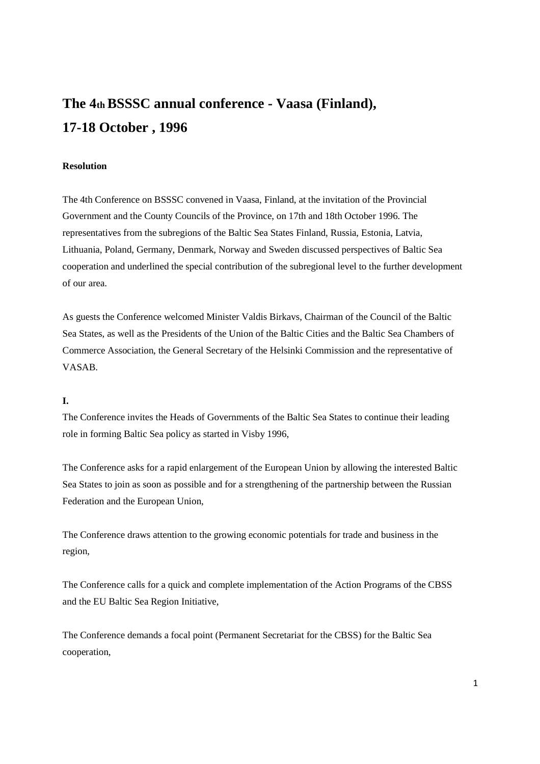# **The 4th BSSSC annual conference - Vaasa (Finland), 17-18 October , 1996**

# **Resolution**

The 4th Conference on BSSSC convened in Vaasa, Finland, at the invitation of the Provincial Government and the County Councils of the Province, on 17th and 18th October 1996. The representatives from the subregions of the Baltic Sea States Finland, Russia, Estonia, Latvia, Lithuania, Poland, Germany, Denmark, Norway and Sweden discussed perspectives of Baltic Sea cooperation and underlined the special contribution of the subregional level to the further development of our area.

As guests the Conference welcomed Minister Valdis Birkavs, Chairman of the Council of the Baltic Sea States, as well as the Presidents of the Union of the Baltic Cities and the Baltic Sea Chambers of Commerce Association, the General Secretary of the Helsinki Commission and the representative of VASAB.

## **I.**

The Conference invites the Heads of Governments of the Baltic Sea States to continue their leading role in forming Baltic Sea policy as started in Visby 1996,

The Conference asks for a rapid enlargement of the European Union by allowing the interested Baltic Sea States to join as soon as possible and for a strengthening of the partnership between the Russian Federation and the European Union,

The Conference draws attention to the growing economic potentials for trade and business in the region,

The Conference calls for a quick and complete implementation of the Action Programs of the CBSS and the EU Baltic Sea Region Initiative,

The Conference demands a focal point (Permanent Secretariat for the CBSS) for the Baltic Sea cooperation,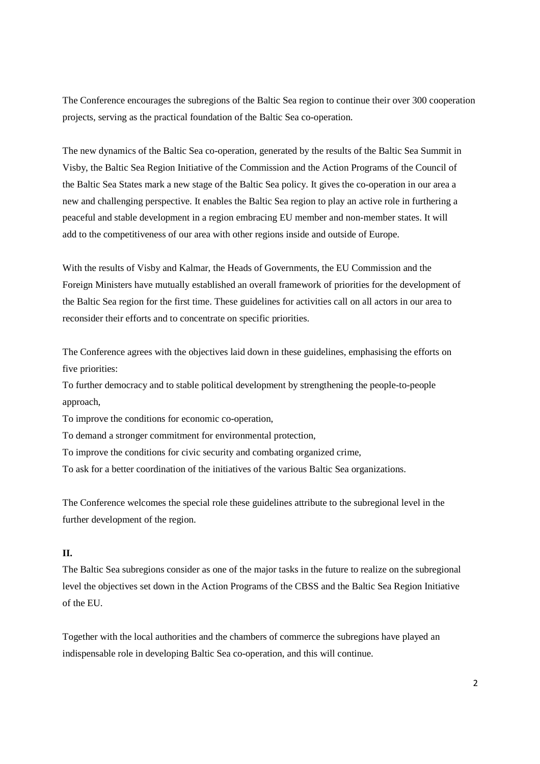The Conference encourages the subregions of the Baltic Sea region to continue their over 300 cooperation projects, serving as the practical foundation of the Baltic Sea co-operation.

The new dynamics of the Baltic Sea co-operation, generated by the results of the Baltic Sea Summit in Visby, the Baltic Sea Region Initiative of the Commission and the Action Programs of the Council of the Baltic Sea States mark a new stage of the Baltic Sea policy. It gives the co-operation in our area a new and challenging perspective. It enables the Baltic Sea region to play an active role in furthering a peaceful and stable development in a region embracing EU member and non-member states. It will add to the competitiveness of our area with other regions inside and outside of Europe.

With the results of Visby and Kalmar, the Heads of Governments, the EU Commission and the Foreign Ministers have mutually established an overall framework of priorities for the development of the Baltic Sea region for the first time. These guidelines for activities call on all actors in our area to reconsider their efforts and to concentrate on specific priorities.

The Conference agrees with the objectives laid down in these guidelines, emphasising the efforts on five priorities:

To further democracy and to stable political development by strengthening the people-to-people approach,

To improve the conditions for economic co-operation,

To demand a stronger commitment for environmental protection,

To improve the conditions for civic security and combating organized crime,

To ask for a better coordination of the initiatives of the various Baltic Sea organizations.

The Conference welcomes the special role these guidelines attribute to the subregional level in the further development of the region.

# **II.**

The Baltic Sea subregions consider as one of the major tasks in the future to realize on the subregional level the objectives set down in the Action Programs of the CBSS and the Baltic Sea Region Initiative of the EU.

Together with the local authorities and the chambers of commerce the subregions have played an indispensable role in developing Baltic Sea co-operation, and this will continue.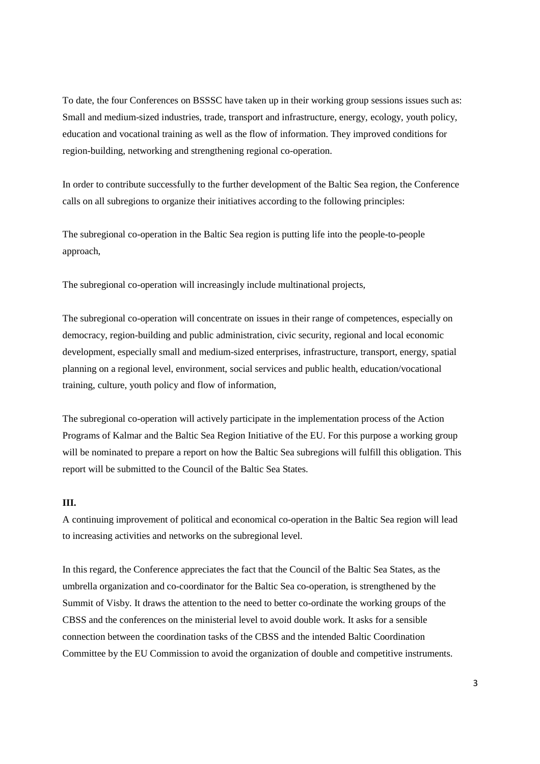To date, the four Conferences on BSSSC have taken up in their working group sessions issues such as: Small and medium-sized industries, trade, transport and infrastructure, energy, ecology, youth policy, education and vocational training as well as the flow of information. They improved conditions for region-building, networking and strengthening regional co-operation.

In order to contribute successfully to the further development of the Baltic Sea region, the Conference calls on all subregions to organize their initiatives according to the following principles:

The subregional co-operation in the Baltic Sea region is putting life into the people-to-people approach,

The subregional co-operation will increasingly include multinational projects,

The subregional co-operation will concentrate on issues in their range of competences, especially on democracy, region-building and public administration, civic security, regional and local economic development, especially small and medium-sized enterprises, infrastructure, transport, energy, spatial planning on a regional level, environment, social services and public health, education/vocational training, culture, youth policy and flow of information,

The subregional co-operation will actively participate in the implementation process of the Action Programs of Kalmar and the Baltic Sea Region Initiative of the EU. For this purpose a working group will be nominated to prepare a report on how the Baltic Sea subregions will fulfill this obligation. This report will be submitted to the Council of the Baltic Sea States.

# **III.**

A continuing improvement of political and economical co-operation in the Baltic Sea region will lead to increasing activities and networks on the subregional level.

In this regard, the Conference appreciates the fact that the Council of the Baltic Sea States, as the umbrella organization and co-coordinator for the Baltic Sea co-operation, is strengthened by the Summit of Visby. It draws the attention to the need to better co-ordinate the working groups of the CBSS and the conferences on the ministerial level to avoid double work. It asks for a sensible connection between the coordination tasks of the CBSS and the intended Baltic Coordination Committee by the EU Commission to avoid the organization of double and competitive instruments.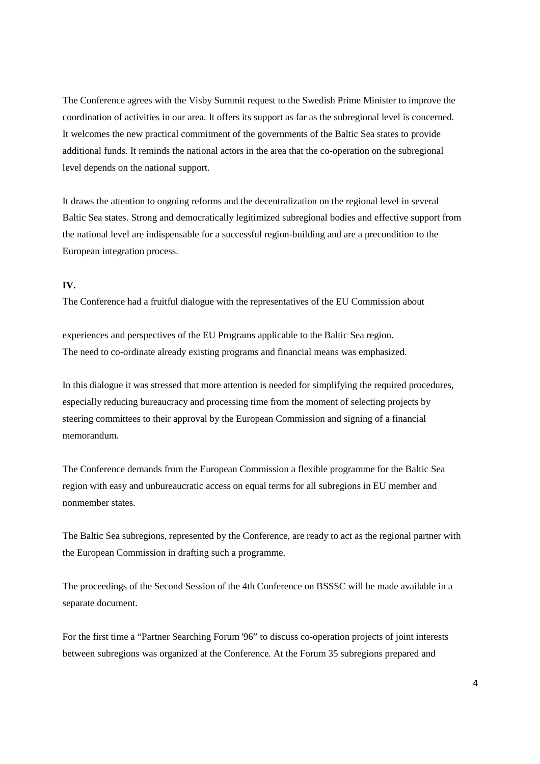The Conference agrees with the Visby Summit request to the Swedish Prime Minister to improve the coordination of activities in our area. It offers its support as far as the subregional level is concerned. It welcomes the new practical commitment of the governments of the Baltic Sea states to provide additional funds. It reminds the national actors in the area that the co-operation on the subregional level depends on the national support.

It draws the attention to ongoing reforms and the decentralization on the regional level in several Baltic Sea states. Strong and democratically legitimized subregional bodies and effective support from the national level are indispensable for a successful region-building and are a precondition to the European integration process.

## **IV.**

The Conference had a fruitful dialogue with the representatives of the EU Commission about

experiences and perspectives of the EU Programs applicable to the Baltic Sea region. The need to co-ordinate already existing programs and financial means was emphasized.

In this dialogue it was stressed that more attention is needed for simplifying the required procedures, especially reducing bureaucracy and processing time from the moment of selecting projects by steering committees to their approval by the European Commission and signing of a financial memorandum.

The Conference demands from the European Commission a flexible programme for the Baltic Sea region with easy and unbureaucratic access on equal terms for all subregions in EU member and nonmember states.

The Baltic Sea subregions, represented by the Conference, are ready to act as the regional partner with the European Commission in drafting such a programme.

The proceedings of the Second Session of the 4th Conference on BSSSC will be made available in a separate document.

For the first time a "Partner Searching Forum '96" to discuss co-operation projects of joint interests between subregions was organized at the Conference. At the Forum 35 subregions prepared and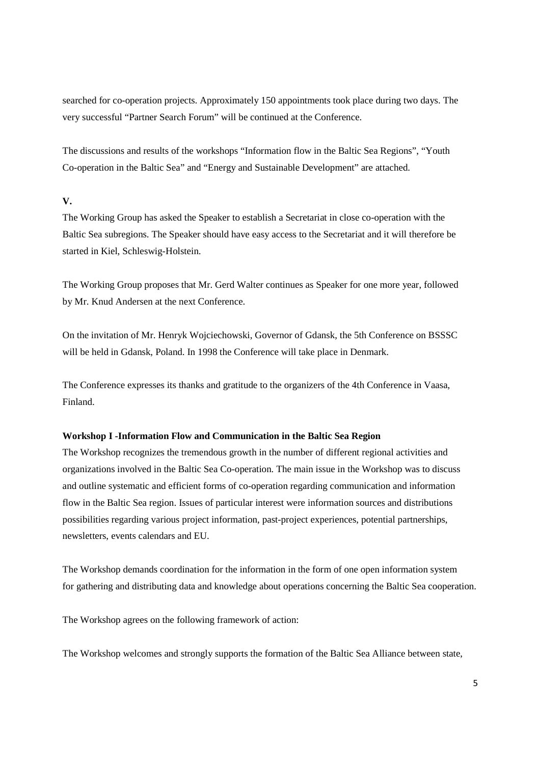searched for co-operation projects. Approximately 150 appointments took place during two days. The very successful "Partner Search Forum" will be continued at the Conference.

The discussions and results of the workshops "Information flow in the Baltic Sea Regions", "Youth Co-operation in the Baltic Sea" and "Energy and Sustainable Development" are attached.

# **V.**

The Working Group has asked the Speaker to establish a Secretariat in close co-operation with the Baltic Sea subregions. The Speaker should have easy access to the Secretariat and it will therefore be started in Kiel, Schleswig-Holstein.

The Working Group proposes that Mr. Gerd Walter continues as Speaker for one more year, followed by Mr. Knud Andersen at the next Conference.

On the invitation of Mr. Henryk Wojciechowski, Governor of Gdansk, the 5th Conference on BSSSC will be held in Gdansk, Poland. In 1998 the Conference will take place in Denmark.

The Conference expresses its thanks and gratitude to the organizers of the 4th Conference in Vaasa, Finland.

# **Workshop I -Information Flow and Communication in the Baltic Sea Region**

The Workshop recognizes the tremendous growth in the number of different regional activities and organizations involved in the Baltic Sea Co-operation. The main issue in the Workshop was to discuss and outline systematic and efficient forms of co-operation regarding communication and information flow in the Baltic Sea region. Issues of particular interest were information sources and distributions possibilities regarding various project information, past-project experiences, potential partnerships, newsletters, events calendars and EU.

The Workshop demands coordination for the information in the form of one open information system for gathering and distributing data and knowledge about operations concerning the Baltic Sea cooperation.

The Workshop agrees on the following framework of action:

The Workshop welcomes and strongly supports the formation of the Baltic Sea Alliance between state,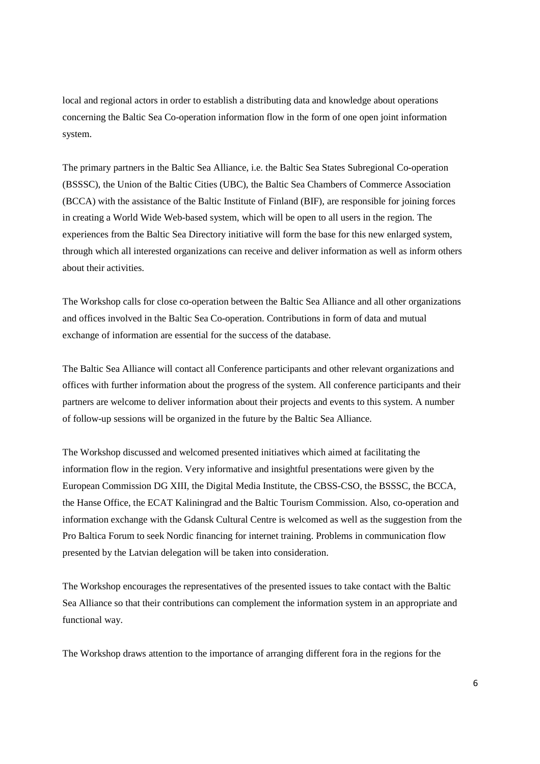local and regional actors in order to establish a distributing data and knowledge about operations concerning the Baltic Sea Co-operation information flow in the form of one open joint information system.

The primary partners in the Baltic Sea Alliance, i.e. the Baltic Sea States Subregional Co-operation (BSSSC), the Union of the Baltic Cities (UBC), the Baltic Sea Chambers of Commerce Association (BCCA) with the assistance of the Baltic Institute of Finland (BIF), are responsible for joining forces in creating a World Wide Web-based system, which will be open to all users in the region. The experiences from the Baltic Sea Directory initiative will form the base for this new enlarged system, through which all interested organizations can receive and deliver information as well as inform others about their activities.

The Workshop calls for close co-operation between the Baltic Sea Alliance and all other organizations and offices involved in the Baltic Sea Co-operation. Contributions in form of data and mutual exchange of information are essential for the success of the database.

The Baltic Sea Alliance will contact all Conference participants and other relevant organizations and offices with further information about the progress of the system. All conference participants and their partners are welcome to deliver information about their projects and events to this system. A number of follow-up sessions will be organized in the future by the Baltic Sea Alliance.

The Workshop discussed and welcomed presented initiatives which aimed at facilitating the information flow in the region. Very informative and insightful presentations were given by the European Commission DG XIII, the Digital Media Institute, the CBSS-CSO, the BSSSC, the BCCA, the Hanse Office, the ECAT Kaliningrad and the Baltic Tourism Commission. Also, co-operation and information exchange with the Gdansk Cultural Centre is welcomed as well as the suggestion from the Pro Baltica Forum to seek Nordic financing for internet training. Problems in communication flow presented by the Latvian delegation will be taken into consideration.

The Workshop encourages the representatives of the presented issues to take contact with the Baltic Sea Alliance so that their contributions can complement the information system in an appropriate and functional way.

The Workshop draws attention to the importance of arranging different fora in the regions for the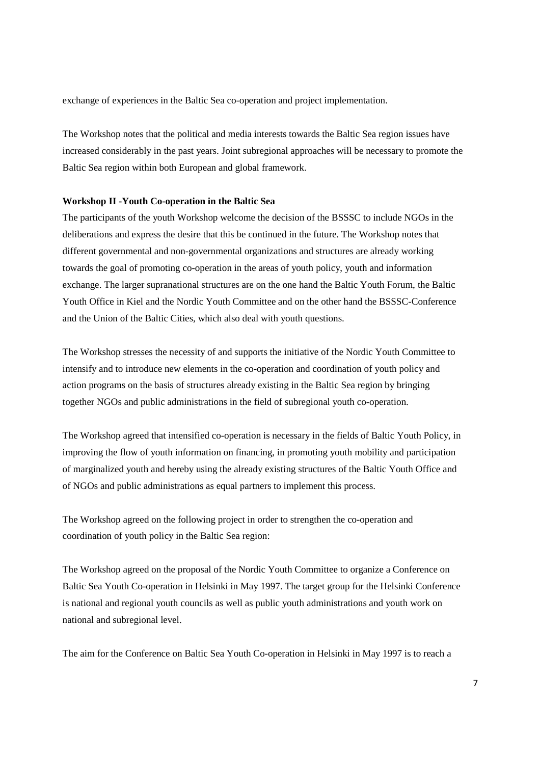exchange of experiences in the Baltic Sea co-operation and project implementation.

The Workshop notes that the political and media interests towards the Baltic Sea region issues have increased considerably in the past years. Joint subregional approaches will be necessary to promote the Baltic Sea region within both European and global framework.

#### **Workshop II -Youth Co-operation in the Baltic Sea**

The participants of the youth Workshop welcome the decision of the BSSSC to include NGOs in the deliberations and express the desire that this be continued in the future. The Workshop notes that different governmental and non-governmental organizations and structures are already working towards the goal of promoting co-operation in the areas of youth policy, youth and information exchange. The larger supranational structures are on the one hand the Baltic Youth Forum, the Baltic Youth Office in Kiel and the Nordic Youth Committee and on the other hand the BSSSC-Conference and the Union of the Baltic Cities, which also deal with youth questions.

The Workshop stresses the necessity of and supports the initiative of the Nordic Youth Committee to intensify and to introduce new elements in the co-operation and coordination of youth policy and action programs on the basis of structures already existing in the Baltic Sea region by bringing together NGOs and public administrations in the field of subregional youth co-operation.

The Workshop agreed that intensified co-operation is necessary in the fields of Baltic Youth Policy, in improving the flow of youth information on financing, in promoting youth mobility and participation of marginalized youth and hereby using the already existing structures of the Baltic Youth Office and of NGOs and public administrations as equal partners to implement this process.

The Workshop agreed on the following project in order to strengthen the co-operation and coordination of youth policy in the Baltic Sea region:

The Workshop agreed on the proposal of the Nordic Youth Committee to organize a Conference on Baltic Sea Youth Co-operation in Helsinki in May 1997. The target group for the Helsinki Conference is national and regional youth councils as well as public youth administrations and youth work on national and subregional level.

The aim for the Conference on Baltic Sea Youth Co-operation in Helsinki in May 1997 is to reach a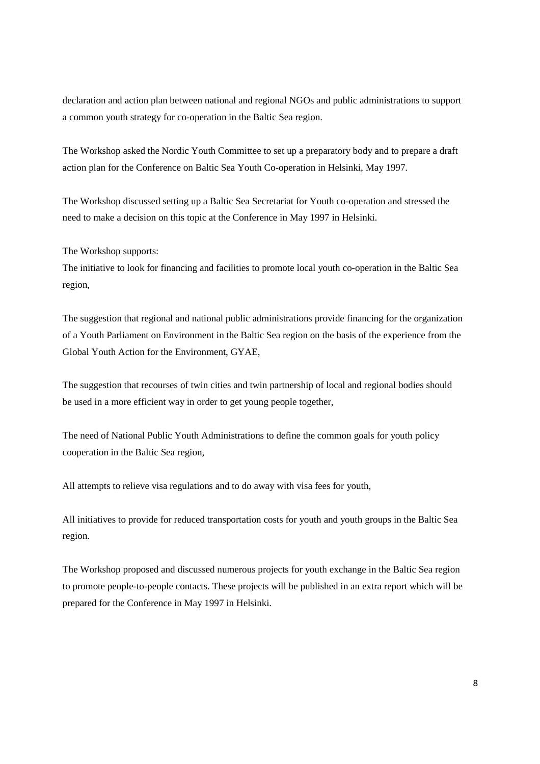declaration and action plan between national and regional NGOs and public administrations to support a common youth strategy for co-operation in the Baltic Sea region.

The Workshop asked the Nordic Youth Committee to set up a preparatory body and to prepare a draft action plan for the Conference on Baltic Sea Youth Co-operation in Helsinki, May 1997.

The Workshop discussed setting up a Baltic Sea Secretariat for Youth co-operation and stressed the need to make a decision on this topic at the Conference in May 1997 in Helsinki.

The Workshop supports:

The initiative to look for financing and facilities to promote local youth co-operation in the Baltic Sea region,

The suggestion that regional and national public administrations provide financing for the organization of a Youth Parliament on Environment in the Baltic Sea region on the basis of the experience from the Global Youth Action for the Environment, GYAE,

The suggestion that recourses of twin cities and twin partnership of local and regional bodies should be used in a more efficient way in order to get young people together,

The need of National Public Youth Administrations to define the common goals for youth policy cooperation in the Baltic Sea region,

All attempts to relieve visa regulations and to do away with visa fees for youth,

All initiatives to provide for reduced transportation costs for youth and youth groups in the Baltic Sea region.

The Workshop proposed and discussed numerous projects for youth exchange in the Baltic Sea region to promote people-to-people contacts. These projects will be published in an extra report which will be prepared for the Conference in May 1997 in Helsinki.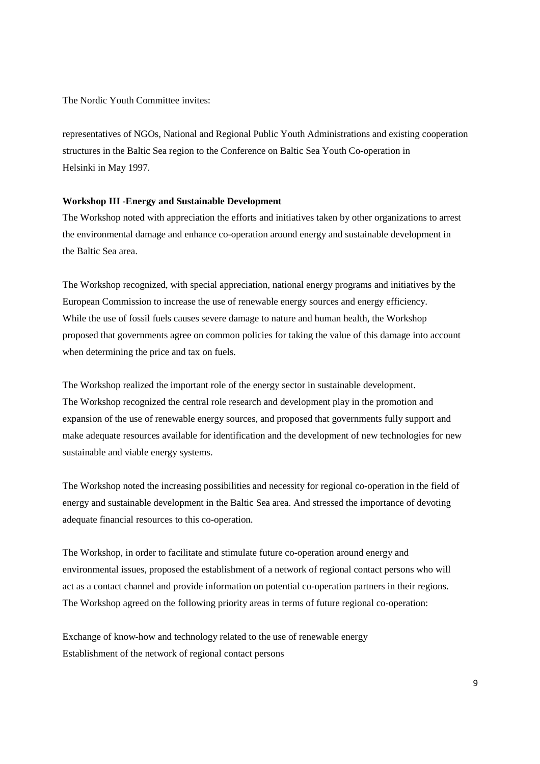The Nordic Youth Committee invites:

representatives of NGOs, National and Regional Public Youth Administrations and existing cooperation structures in the Baltic Sea region to the Conference on Baltic Sea Youth Co-operation in Helsinki in May 1997.

#### **Workshop III -Energy and Sustainable Development**

The Workshop noted with appreciation the efforts and initiatives taken by other organizations to arrest the environmental damage and enhance co-operation around energy and sustainable development in the Baltic Sea area.

The Workshop recognized, with special appreciation, national energy programs and initiatives by the European Commission to increase the use of renewable energy sources and energy efficiency. While the use of fossil fuels causes severe damage to nature and human health, the Workshop proposed that governments agree on common policies for taking the value of this damage into account when determining the price and tax on fuels.

The Workshop realized the important role of the energy sector in sustainable development. The Workshop recognized the central role research and development play in the promotion and expansion of the use of renewable energy sources, and proposed that governments fully support and make adequate resources available for identification and the development of new technologies for new sustainable and viable energy systems.

The Workshop noted the increasing possibilities and necessity for regional co-operation in the field of energy and sustainable development in the Baltic Sea area. And stressed the importance of devoting adequate financial resources to this co-operation.

The Workshop, in order to facilitate and stimulate future co-operation around energy and environmental issues, proposed the establishment of a network of regional contact persons who will act as a contact channel and provide information on potential co-operation partners in their regions. The Workshop agreed on the following priority areas in terms of future regional co-operation:

Exchange of know-how and technology related to the use of renewable energy Establishment of the network of regional contact persons